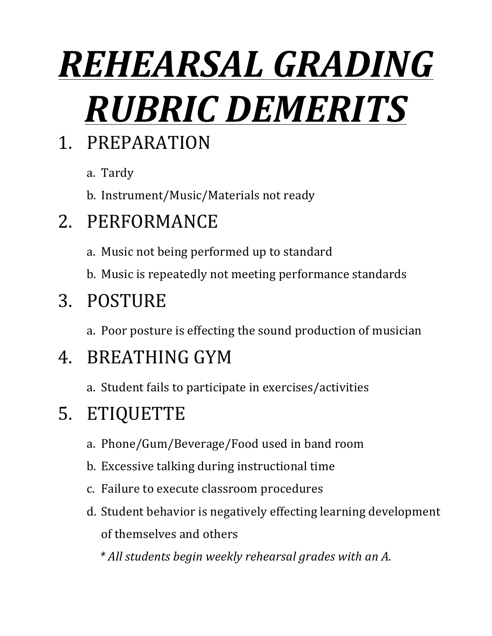# *REHEARSAL'GRADING' RUBRIC DEMERITS*

#### 1. PREPARATION

- a. Tardy
- b. Instrument/Music/Materials not ready

#### 2. PERFORMANCE

- a. Music not being performed up to standard
- b. Music is repeatedly not meeting performance standards

#### 3. POSTURE

a. Poor posture is effecting the sound production of musician

#### 4. BREATHING+GYM

a. Student fails to participate in exercises/activities

#### 5. ETIQUETTE

- a. Phone/Gum/Beverage/Food used in band room
- b. Excessive talking during instructional time
- c. Failure to execute classroom procedures
- d. Student behavior is negatively effecting learning development of themselves and others

*\*"All"students"begin"weekly"rehearsal"grades"with"an"A.*